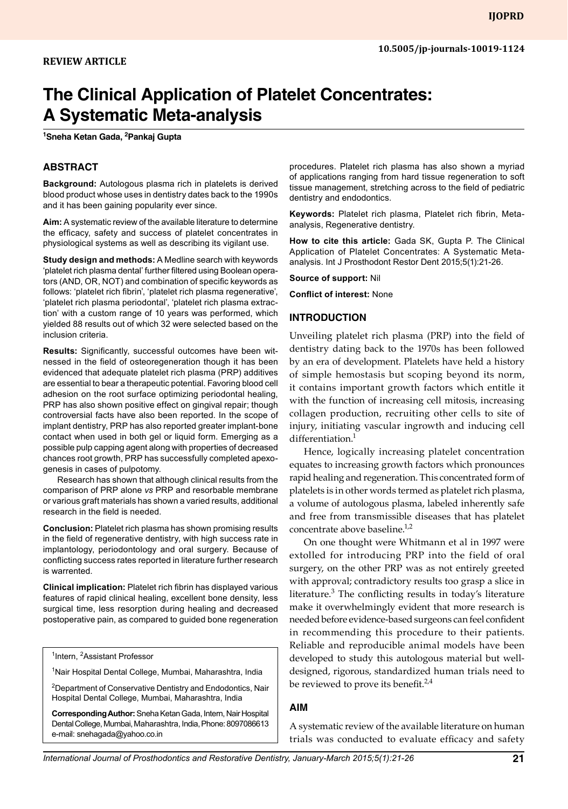# **The Clinical Application of Platelet Concentrates: A Systematic Meta-analysis**

**1 Sneha Ketan Gada, 2 Pankaj Gupta**

#### **Abstract**

**Background:** Autologous plasma rich in platelets is derived blood product whose uses in dentistry dates back to the 1990s and it has been gaining popularity ever since.

**Aim:** A systematic review of the available literature to determine the efficacy, safety and success of platelet concentrates in physiological systems as well as describing its vigilant use.

**Study design and methods:** A Medline search with keywords 'platelet rich plasma dental' further filtered using Boolean operators (AND, OR, NOT) and combination of specific keywords as follows: 'platelet rich fibrin', 'platelet rich plasma regenerative', 'platelet rich plasma periodontal', 'platelet rich plasma extraction' with a custom range of 10 years was performed, which yielded 88 results out of which 32 were selected based on the inclusion criteria.

**Results:** Significantly, successful outcomes have been witnessed in the field of osteoregeneration though it has been evidenced that adequate platelet rich plasma (PRP) additives are essential to bear a therapeutic potential. Favoring blood cell adhesion on the root surface optimizing periodontal healing, PRP has also shown positive effect on gingival repair; though controversial facts have also been reported. In the scope of implant dentistry, PRP has also reported greater implant-bone contact when used in both gel or liquid form. Emerging as a possible pulp capping agent along with properties of decreased chances root growth, PRP has successfully completed apexogenesis in cases of pulpotomy.

Research has shown that although clinical results from the comparison of PRP alone *vs* PRP and resorbable membrane or various graft materials has shown a varied results, additional research in the field is needed.

**Conclusion:** Platelet rich plasma has shown promising results in the field of regenerative dentistry, with high success rate in implantology, periodontology and oral surgery. Because of conflicting success rates reported in literature further research is warrented.

**Clinical implication:** Platelet rich fibrin has displayed various features of rapid clinical healing, excellent bone density, less surgical time, less resorption during healing and decreased postoperative pain, as compared to guided bone regeneration

<sup>1</sup>Intern, <sup>2</sup>Assistant Professor

<sup>1</sup>Nair Hospital Dental College, Mumbai, Maharashtra, India

<sup>2</sup>Department of Conservative Dentistry and Endodontics, Nair Hospital Dental College, Mumbai, Maharashtra, India

**Corresponding Author:** Sneha Ketan Gada, Intern, Nair Hospital Dental College, Mumbai, Maharashtra, India, Phone: 8097086613 e-mail: snehagada@yahoo.co.in

procedures. Platelet rich plasma has also shown a myriad of applications ranging from hard tissue regeneration to soft tissue management, stretching across to the field of pediatric dentistry and endodontics.

**Keywords:** Platelet rich plasma, Platelet rich fibrin, Metaanalysis, Regenerative dentistry.

**How to cite this article:** Gada SK, Gupta P. The Clinical Application of Platelet Concentrates: A Systematic Metaanalysis. Int J Prosthodont Restor Dent 2015;5(1):21-26.

**Source of support:** Nil

**Conflict of interest:** None

#### **INtroduction**

Unveiling platelet rich plasma (PRP) into the field of dentistry dating back to the 1970s has been followed by an era of development. Platelets have held a history of simple hemostasis but scoping beyond its norm, it contains important growth factors which entitle it with the function of increasing cell mitosis, increasing collagen production, recruiting other cells to site of injury, initiating vascular ingrowth and inducing cell differentiation.<sup>1</sup>

Hence, logically increasing platelet concentration equates to increasing growth factors which pronounces rapid healing and regeneration. This concentrated form of platelets is in other words termed as platelet rich plasma, a volume of autologous plasma, labeled inherently safe and free from transmissible diseases that has platelet concentrate above baseline.<sup>1,2</sup>

On one thought were Whitmann et al in 1997 were extolled for introducing PRP into the field of oral surgery, on the other PRP was as not entirely greeted with approval; contradictory results too grasp a slice in literature.<sup>3</sup> The conflicting results in today's literature make it overwhelmingly evident that more research is needed before evidence-based surgeons can feel confident in recommending this procedure to their patients. Reliable and reproducible animal models have been developed to study this autologous material but welldesigned, rigorous, standardized human trials need to be reviewed to prove its benefit.<sup>2,4</sup>

#### **AIM**

A systematic review of the available literature on human trials was conducted to evaluate efficacy and safety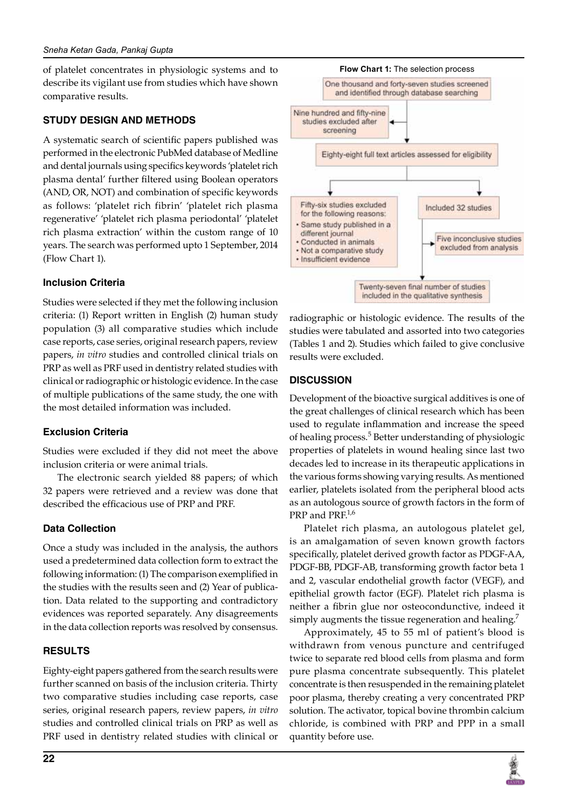of platelet concentrates in physiologic systems and to describe its vigilant use from studies which have shown comparative results.

#### **STUDY DESIGN AND METHODS**

A systematic search of scientific papers published was performed in the electronic PubMed database of Medline and dental journals using specifics keywords 'platelet rich plasma dental' further filtered using Boolean operators (AND, OR, NOT) and combination of specific keywords as follows: 'platelet rich fibrin' 'platelet rich plasma regenerative' 'platelet rich plasma periodontal' 'platelet rich plasma extraction' within the custom range of 10 years. The search was performed upto 1 September, 2014 (Flow Chart 1).

#### **Inclusion Criteria**

Studies were selected if they met the following inclusion criteria: (1) Report written in English (2) human study population (3) all comparative studies which include case reports, case series, original research papers, review papers, *in vitro* studies and controlled clinical trials on PRP as well as PRF used in dentistry related studies with clinical or radiographic or histologic evidence. In the case of multiple publications of the same study, the one with the most detailed information was included.

## **Exclusion Criteria**

Studies were excluded if they did not meet the above inclusion criteria or were animal trials.

The electronic search yielded 88 papers; of which 32 papers were retrieved and a review was done that described the efficacious use of PRP and PRF.

## **Data Collection**

Once a study was included in the analysis, the authors used a predetermined data collection form to extract the following information: (1) The comparison exemplified in the studies with the results seen and (2) Year of publication. Data related to the supporting and contradictory evidences was reported separately. Any disagreements in the data collection reports was resolved by consensus.

# **RESULTS**

Eighty-eight papers gathered from the search results were further scanned on basis of the inclusion criteria. Thirty two comparative studies including case reports, case series, original research papers, review papers, *in vitro* studies and controlled clinical trials on PRP as well as PRF used in dentistry related studies with clinical or



radiographic or histologic evidence. The results of the studies were tabulated and assorted into two categories (Tables 1 and 2). Studies which failed to give conclusive results were excluded.

## **DISCUSSION**

Development of the bioactive surgical additives is one of the great challenges of clinical research which has been used to regulate inflammation and increase the speed of healing process.<sup>5</sup> Better understanding of physiologic properties of platelets in wound healing since last two decades led to increase in its therapeutic applications in the various forms showing varying results. As mentioned earlier, platelets isolated from the peripheral blood acts as an autologous source of growth factors in the form of  $PRP$  and  $PRF<sup>1,6</sup>$ 

Platelet rich plasma, an autologous platelet gel, is an amalgamation of seven known growth factors specifically, platelet derived growth factor as PDGF-AA, PDGF-BB, PDGF-AB, transforming growth factor beta 1 and 2, vascular endothelial growth factor (VEGF), and epithelial growth factor (EGF). Platelet rich plasma is neither a fibrin glue nor osteocondunctive, indeed it simply augments the tissue regeneration and healing.<sup>7</sup>

Approximately, 45 to 55 ml of patient's blood is withdrawn from venous puncture and centrifuged twice to separate red blood cells from plasma and form pure plasma concentrate subsequently. This platelet concentrate is then resuspended in the remaining platelet poor plasma, thereby creating a very concentrated PRP solution. The activator, topical bovine thrombin calcium chloride, is combined with PRP and PPP in a small quantity before use.

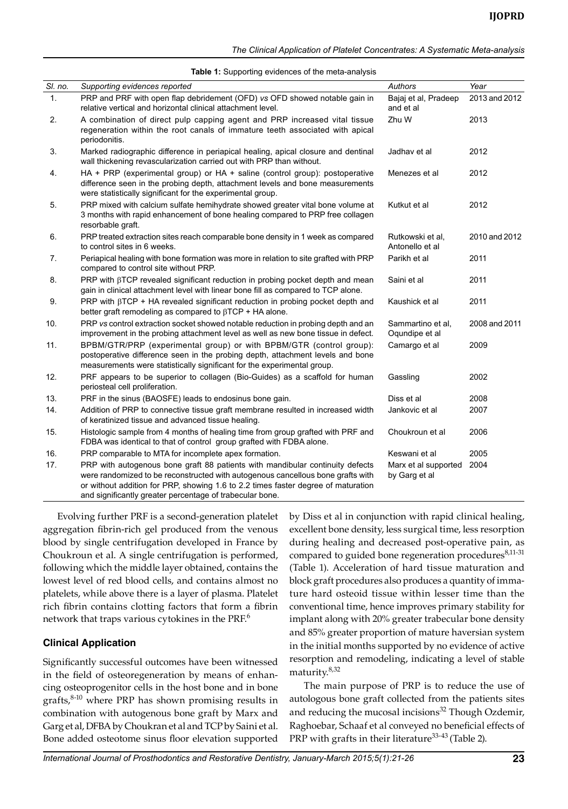*The Clinical Application of Platelet Concentrates: A Systematic Meta-analysis*

|         | <b>Table 1:</b> Supporting evidences of the meta-analysis                                                                                                                                                                                                                                                         |                                       |               |  |  |  |
|---------|-------------------------------------------------------------------------------------------------------------------------------------------------------------------------------------------------------------------------------------------------------------------------------------------------------------------|---------------------------------------|---------------|--|--|--|
| SI. no. | Supporting evidences reported                                                                                                                                                                                                                                                                                     | Authors                               | Year          |  |  |  |
| 1.      | PRP and PRF with open flap debridement (OFD) vs OFD showed notable gain in<br>relative vertical and horizontal clinical attachment level.                                                                                                                                                                         | Bajaj et al, Pradeep<br>and et al     | 2013 and 2012 |  |  |  |
| 2.      | A combination of direct pulp capping agent and PRP increased vital tissue<br>regeneration within the root canals of immature teeth associated with apical<br>periodonitis.                                                                                                                                        | Zhu W                                 | 2013          |  |  |  |
| 3.      | Marked radiographic difference in periapical healing, apical closure and dentinal<br>wall thickening revascularization carried out with PRP than without.                                                                                                                                                         | Jadhav et al                          | 2012          |  |  |  |
| 4.      | HA + PRP (experimental group) or HA + saline (control group): postoperative<br>difference seen in the probing depth, attachment levels and bone measurements<br>were statistically significant for the experimental group.                                                                                        | Menezes et al                         | 2012          |  |  |  |
| 5.      | PRP mixed with calcium sulfate hemihydrate showed greater vital bone volume at<br>3 months with rapid enhancement of bone healing compared to PRP free collagen<br>resorbable graft.                                                                                                                              | Kutkut et al                          | 2012          |  |  |  |
| 6.      | PRP treated extraction sites reach comparable bone density in 1 week as compared<br>to control sites in 6 weeks.                                                                                                                                                                                                  | Rutkowski et al.<br>Antonello et al   | 2010 and 2012 |  |  |  |
| 7.      | Periapical healing with bone formation was more in relation to site grafted with PRP<br>compared to control site without PRP.                                                                                                                                                                                     | Parikh et al                          | 2011          |  |  |  |
| 8.      | PRP with $\beta$ TCP revealed significant reduction in probing pocket depth and mean<br>gain in clinical attachment level with linear bone fill as compared to TCP alone.                                                                                                                                         | Saini et al                           | 2011          |  |  |  |
| 9.      | PRP with $\beta$ TCP + HA revealed significant reduction in probing pocket depth and<br>better graft remodeling as compared to $\beta$ TCP + HA alone.                                                                                                                                                            | Kaushick et al                        | 2011          |  |  |  |
| 10.     | PRP vs control extraction socket showed notable reduction in probing depth and an<br>improvement in the probing attachment level as well as new bone tissue in defect.                                                                                                                                            | Sammartino et al.<br>Oqundipe et al   | 2008 and 2011 |  |  |  |
| 11.     | BPBM/GTR/PRP (experimental group) or with BPBM/GTR (control group):<br>postoperative difference seen in the probing depth, attachment levels and bone<br>measurements were statistically significant for the experimental group.                                                                                  | Camargo et al                         | 2009          |  |  |  |
| 12.     | PRF appears to be superior to collagen (Bio-Guides) as a scaffold for human<br>periosteal cell proliferation.                                                                                                                                                                                                     | Gassling                              | 2002          |  |  |  |
| 13.     | PRF in the sinus (BAOSFE) leads to endosinus bone gain.                                                                                                                                                                                                                                                           | Diss et al                            | 2008          |  |  |  |
| 14.     | Addition of PRP to connective tissue graft membrane resulted in increased width<br>of keratinized tissue and advanced tissue healing.                                                                                                                                                                             | Jankovic et al                        | 2007          |  |  |  |
| 15.     | Histologic sample from 4 months of healing time from group grafted with PRF and<br>FDBA was identical to that of control group grafted with FDBA alone.                                                                                                                                                           | Choukroun et al                       | 2006          |  |  |  |
| 16.     | PRP comparable to MTA for incomplete apex formation.                                                                                                                                                                                                                                                              | Keswani et al                         | 2005          |  |  |  |
| 17.     | PRP with autogenous bone graft 88 patients with mandibular continuity defects<br>were randomized to be reconstructed with autogenous cancellous bone grafts with<br>or without addition for PRP, showing 1.6 to 2.2 times faster degree of maturation<br>and significantly greater percentage of trabecular bone. | Marx et al supported<br>by Garg et al | 2004          |  |  |  |

Evolving further PRF is a second-generation platelet aggregation fibrin-rich gel produced from the venous blood by single centrifugation developed in France by Choukroun et al. A single centrifugation is performed, following which the middle layer obtained, contains the lowest level of red blood cells, and contains almost no platelets, while above there is a layer of plasma. Platelet rich fibrin contains clotting factors that form a fibrin network that traps various cytokines in the PRF.<sup>6</sup>

## **Clinical Application**

Significantly successful outcomes have been witnessed in the field of osteoregeneration by means of enhancing osteoprogenitor cells in the host bone and in bone grafts, $8-10$  where PRP has shown promising results in combination with autogenous bone graft by Marx and Garg et al, DFBA by Choukran et al and TCP by Saini et al. Bone added osteotome sinus floor elevation supported by Diss et al in conjunction with rapid clinical healing, excellent bone density, less surgical time, less resorption during healing and decreased post-operative pain, as compared to guided bone regeneration procedures<sup>8,11-31</sup> (Table 1). Acceleration of hard tissue maturation and block graft procedures also produces a quantity of immature hard osteoid tissue within lesser time than the conventional time, hence improves primary stability for implant along with 20% greater trabecular bone density and 85% greater proportion of mature haversian system in the initial months supported by no evidence of active resorption and remodeling, indicating a level of stable maturity.<sup>8,32</sup>

The main purpose of PRP is to reduce the use of autologous bone graft collected from the patients sites and reducing the mucosal incisions $32$  Though Ozdemir, Raghoebar, Schaaf et al conveyed no beneficial effects of PRP with grafts in their literature<sup>33-43</sup> (Table 2).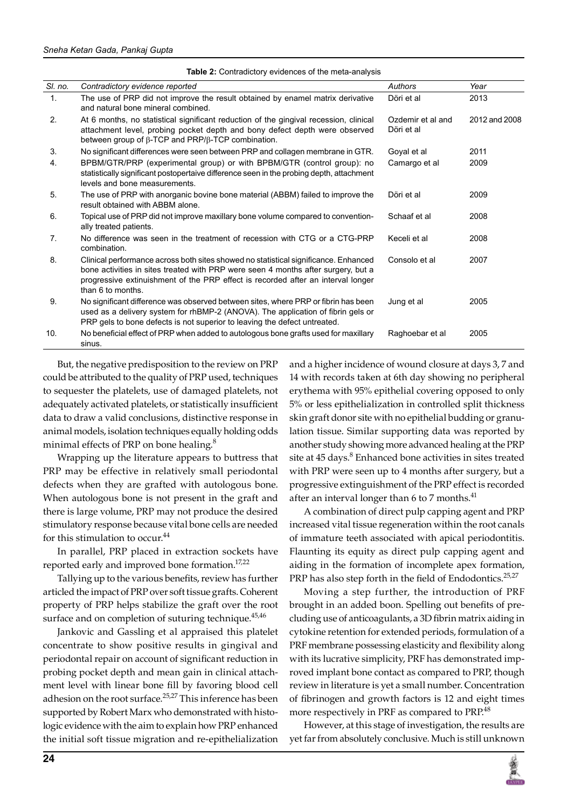|                | ווטומומשונו טוויוסטטווטטט טו גווט וווטנט מוומוזיטופ                                                                                                                                                                                                                               |                                 |               |  |  |  |
|----------------|-----------------------------------------------------------------------------------------------------------------------------------------------------------------------------------------------------------------------------------------------------------------------------------|---------------------------------|---------------|--|--|--|
| SI. no.        | Contradictory evidence reported                                                                                                                                                                                                                                                   | Authors                         | Year          |  |  |  |
| 1.             | The use of PRP did not improve the result obtained by enamel matrix derivative<br>and natural bone mineral combined.                                                                                                                                                              | Döri et al                      | 2013          |  |  |  |
| 2.             | At 6 months, no statistical significant reduction of the gingival recession, clinical<br>attachment level, probing pocket depth and bony defect depth were observed<br>between group of $\beta$ -TCP and PRP/ $\beta$ -TCP combination.                                           | Ozdemir et al and<br>Döri et al | 2012 and 2008 |  |  |  |
| 3.             | No significant differences were seen between PRP and collagen membrane in GTR.                                                                                                                                                                                                    | Goyal et al                     | 2011          |  |  |  |
| 4.             | BPBM/GTR/PRP (experimental group) or with BPBM/GTR (control group): no<br>statistically significant postopertaive difference seen in the probing depth, attachment<br>levels and bone measurements.                                                                               | Camargo et al                   | 2009          |  |  |  |
| 5.             | The use of PRP with anorganic bovine bone material (ABBM) failed to improve the<br>result obtained with ABBM alone.                                                                                                                                                               | Döri et al                      | 2009          |  |  |  |
| 6.             | Topical use of PRP did not improve maxillary bone volume compared to convention-<br>ally treated patients.                                                                                                                                                                        | Schaaf et al                    | 2008          |  |  |  |
| 7 <sub>1</sub> | No difference was seen in the treatment of recession with CTG or a CTG-PRP<br>combination.                                                                                                                                                                                        | Keceli et al                    | 2008          |  |  |  |
| 8.             | Clinical performance across both sites showed no statistical significance. Enhanced<br>bone activities in sites treated with PRP were seen 4 months after surgery, but a<br>progressive extinuishment of the PRP effect is recorded after an interval longer<br>than 6 to months. | Consolo et al                   | 2007          |  |  |  |
| 9.             | No significant difference was observed between sites, where PRP or fibrin has been<br>used as a delivery system for rhBMP-2 (ANOVA). The application of fibrin gels or<br>PRP gels to bone defects is not superior to leaving the defect untreated.                               | Jung et al                      | 2005          |  |  |  |
| 10.            | No beneficial effect of PRP when added to autologous bone grafts used for maxillary<br>sinus.                                                                                                                                                                                     | Raghoebar et al                 | 2005          |  |  |  |

**Table 2:** Contradictory evidences of the meta-analysis

But, the negative predisposition to the review on PRP could be attributed to the quality of PRP used, techniques to sequester the platelets, use of damaged platelets, not adequately activated platelets, or statistically insufficient data to draw a valid conclusions, distinctive response in animal models, isolation techniques equally holding odds minimal effects of PRP on bone healing.<sup>8</sup>

Wrapping up the literature appears to buttress that PRP may be effective in relatively small periodontal defects when they are grafted with autologous bone. When autologous bone is not present in the graft and there is large volume, PRP may not produce the desired stimulatory response because vital bone cells are needed for this stimulation to occur.<sup>44</sup>

In parallel, PRP placed in extraction sockets have reported early and improved bone formation.<sup>17,22</sup>

Tallying up to the various benefits, review has further articled the impact of PRP over soft tissue grafts. Coherent property of PRP helps stabilize the graft over the root surface and on completion of suturing technique.<sup>45,46</sup>

Jankovic and Gassling et al appraised this platelet concentrate to show positive results in gingival and periodontal repair on account of significant reduction in probing pocket depth and mean gain in clinical attachment level with linear bone fill by favoring blood cell adhesion on the root surface. $25,27$  This inference has been supported by Robert Marx who demonstrated with histologic evidence with the aim to explain how PRP enhanced the initial soft tissue migration and re-epithelialization

and a higher incidence of wound closure at days 3, 7 and 14 with records taken at 6th day showing no peripheral erythema with 95% epithelial covering opposed to only 5% or less epithelialization in controlled split thickness skin graft donor site with no epithelial budding or granulation tissue. Similar supporting data was reported by another study showing more advanced healing at the PRP site at 45 days.<sup>8</sup> Enhanced bone activities in sites treated with PRP were seen up to 4 months after surgery, but a progressive extinguishment of the PRP effect is recorded after an interval longer than  $6$  to  $7$  months.<sup>41</sup>

A combination of direct pulp capping agent and PRP increased vital tissue regeneration within the root canals of immature teeth associated with apical periodontitis. Flaunting its equity as direct pulp capping agent and aiding in the formation of incomplete apex formation, PRP has also step forth in the field of Endodontics. $25,27$ 

Moving a step further, the introduction of PRF brought in an added boon. Spelling out benefits of precluding use of anticoagulants, a 3D fibrin matrix aiding in cytokine retention for extended periods, formulation of a PRF membrane possessing elasticity and flexibility along with its lucrative simplicity, PRF has demonstrated improved implant bone contact as compared to PRP, though review in literature is yet a small number. Concentration of fibrinogen and growth factors is 12 and eight times more respectively in PRF as compared to PRP.<sup>48</sup>

However, at this stage of investigation, the results are yet far from absolutely conclusive. Much is still unknown

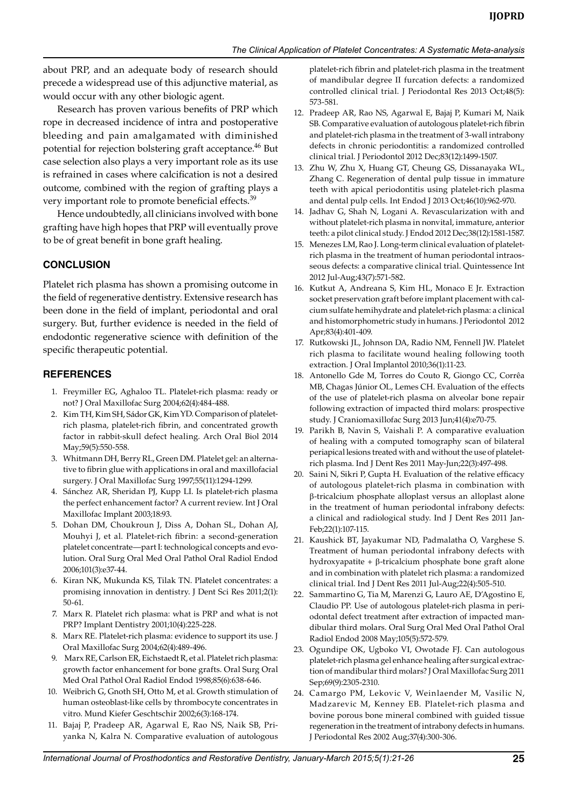about PRP, and an adequate body of research should precede a widespread use of this adjunctive material, as would occur with any other biologic agent.

Research has proven various benefits of PRP which rope in decreased incidence of intra and postoperative bleeding and pain amalgamated with diminished potential for rejection bolstering graft acceptance.<sup>46</sup> But case selection also plays a very important role as its use is refrained in cases where calcification is not a desired outcome, combined with the region of grafting plays a very important role to promote beneficial effects.<sup>39</sup>

Hence undoubtedly, all clinicians involved with bone grafting have high hopes that PRP will eventually prove to be of great benefit in bone graft healing.

## **CONCLUSION**

Platelet rich plasma has shown a promising outcome in the field of regenerative dentistry. Extensive research has been done in the field of implant, periodontal and oral surgery. But, further evidence is needed in the field of endodontic regenerative science with definition of the specific therapeutic potential.

## **References**

- 1. Freymiller EG, Aghaloo TL. Platelet-rich plasma: ready or not? J Oral Maxillofac Surg 2004;62(4):484-488.
- 2. Kim TH, Kim SH, Sádor GK, KimYD. Comparison of plateletrich plasma, platelet-rich fibrin, and concentrated growth factor in rabbit-skull defect healing. Arch Oral Biol 2014 May;59(5):550-558.
- 3. Whitmann DH, Berry RL, Green DM. Platelet gel: an alternative to fibrin glue with applications in oral and maxillofacial surgery. J Oral Maxillofac Surg 1997;55(11):1294-1299.
- 4. Sánchez AR, Sheridan PJ, Kupp LI. Is platelet-rich plasma the perfect enhancement factor? A current review. Int J Oral Maxillofac Implant 2003;18:93.
- 5. Dohan DM, Choukroun J, Diss A, Dohan SL, Dohan AJ, Mouhyi J, et al. Platelet-rich fibrin: a second-generation platelet concentrate—part I: technological concepts and evolution. Oral Surg Oral Med Oral Pathol Oral Radiol Endod 2006;101(3):e37-44.
- 6. Kiran NK, Mukunda KS, Tilak TN. Platelet concentrates: a promising innovation in dentistry. J Dent Sci Res 2011;2(1): 50-61.
- 7. Marx R. Platelet rich plasma: what is PRP and what is not PRP? Implant Dentistry 2001;10(4):225-228.
- 8. Marx RE. Platelet-rich plasma: evidence to support its use. J Oral Maxillofac Surg 2004;62(4):489-496.
- 9. Marx RE, Carlson ER, Eichstaedt R, et al. Platelet rich plasma: growth factor enhancement for bone grafts. Oral Surg Oral Med Oral Pathol Oral Radiol Endod 1998;85(6):638-646.
- 10. Weibrich G, Gnoth SH, Otto M, et al. Growth stimulation of human osteoblast-like cells by thrombocyte concentrates in vitro. Mund Kiefer Geschtschir 2002;6(3):168-174.
- 11. Bajaj P, Pradeep AR, Agarwal E, Rao NS, Naik SB, Priyanka N, Kalra N. Comparative evaluation of autologous

platelet-rich fibrin and platelet-rich plasma in the treatment of mandibular degree II furcation defects: a randomized controlled clinical trial. J Periodontal Res 2013 Oct;48(5): 573-581.

- 12. Pradeep AR, Rao NS, Agarwal E, Bajaj P, Kumari M, Naik SB. Comparative evaluation of autologous platelet-rich fibrin and platelet-rich plasma in the treatment of 3-wall intrabony defects in chronic periodontitis: a randomized controlled clinical trial. J Periodontol 2012 Dec;83(12):1499-1507.
- 13. Zhu W, Zhu X, Huang GT, Cheung GS, Dissanayaka WL, Zhang C. Regeneration of dental pulp tissue in immature teeth with apical periodontitis using platelet-rich plasma and dental pulp cells. Int Endod J 2013 Oct;46(10):962-970.
- 14. Jadhav G, Shah N, Logani A. Revascularization with and without platelet-rich plasma in nonvital, immature, anterior teeth: a pilot clinical study. J Endod 2012 Dec;38(12):1581-1587.
- 15. Menezes LM, Rao J. Long-term clinical evaluation of plateletrich plasma in the treatment of human periodontal intraosseous defects: a comparative clinical trial. Quintessence Int 2012 Jul-Aug;43(7):571-582.
- 16. Kutkut A, Andreana S, Kim HL, Monaco E Jr. Extraction socket preservation graft before implant placement with calcium sulfate hemihydrate and platelet-rich plasma: a clinical and histomorphometric study in humans. J Periodontol 2012 Apr;83(4):401-409.
- 17. Rutkowski JL, Johnson DA, Radio NM, Fennell JW. Platelet rich plasma to facilitate wound healing following tooth extraction. J Oral Implantol 2010;36(1):11-23.
- 18. Antonello Gde M, Torres do Couto R, Giongo CC, Corrêa MB, Chagas Júnior OL, Lemes CH. Evaluation of the effects of the use of platelet-rich plasma on alveolar bone repair following extraction of impacted third molars: prospective study. J Craniomaxillofac Surg 2013 Jun;41(4):e70-75.
- 19. Parikh B, Navin S, Vaishali P. A comparative evaluation of healing with a computed tomography scan of bilateral periapical lesions treated with and without the use of plateletrich plasma. Ind J Dent Res 2011 May-Jun;22(3):497-498.
- 20. Saini N, Sikri P, Gupta H. Evaluation of the relative efficacy of autologous platelet-rich plasma in combination with β-tricalcium phosphate alloplast versus an alloplast alone in the treatment of human periodontal infrabony defects: a clinical and radiological study. Ind J Dent Res 2011 Jan-Feb;22(1):107-115.
- 21. Kaushick BT, Jayakumar ND, Padmalatha O, Varghese S. Treatment of human periodontal infrabony defects with hydroxyapatite + β-tricalcium phosphate bone graft alone and in combination with platelet rich plasma: a randomized clinical trial. Ind J Dent Res 2011 Jul-Aug;22(4):505-510.
- 22. Sammartino G, Tia M, Marenzi G, Lauro AE, D'Agostino E, Claudio PP. Use of autologous platelet-rich plasma in periodontal defect treatment after extraction of impacted mandibular third molars. Oral Surg Oral Med Oral Pathol Oral Radiol Endod 2008 May;105(5):572-579.
- 23. Ogundipe OK, Ugboko VI, Owotade FJ. Can autologous platelet-rich plasma gel enhance healing after surgical extraction of mandibular third molars? J Oral Maxillofac Surg 2011 Sep;69(9):2305-2310.
- 24. Camargo PM, Lekovic V, Weinlaender M, Vasilic N, Madzarevic M, Kenney EB. Platelet-rich plasma and bovine porous bone mineral combined with guided tissue regeneration in the treatment of intrabony defects in humans. J Periodontal Res 2002 Aug;37(4):300-306.